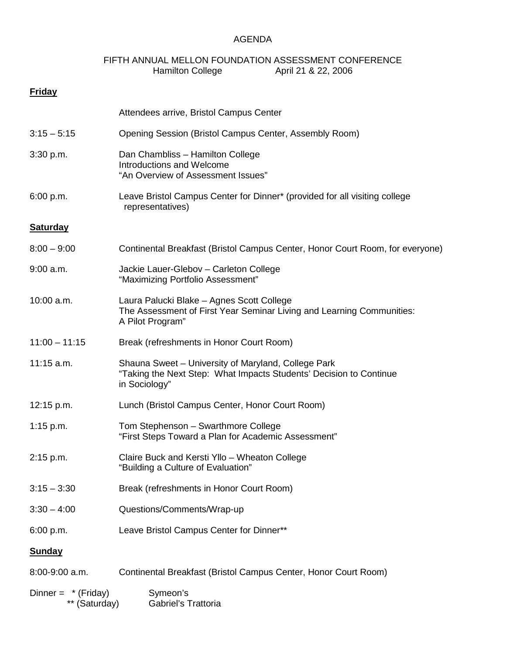## AGENDA

## FIFTH ANNUAL MELLON FOUNDATION ASSESSMENT CONFERENCE<br>Hamilton College April 21 & 22, 2006 April 21 & 22, 2006

| <b>Friday</b>                      |                                                                                                                                            |
|------------------------------------|--------------------------------------------------------------------------------------------------------------------------------------------|
|                                    | Attendees arrive, Bristol Campus Center                                                                                                    |
| $3:15 - 5:15$                      | Opening Session (Bristol Campus Center, Assembly Room)                                                                                     |
| 3:30 p.m.                          | Dan Chambliss - Hamilton College<br>Introductions and Welcome<br>"An Overview of Assessment Issues"                                        |
| 6:00 p.m.                          | Leave Bristol Campus Center for Dinner* (provided for all visiting college<br>representatives)                                             |
| <b>Saturday</b>                    |                                                                                                                                            |
| $8:00 - 9:00$                      | Continental Breakfast (Bristol Campus Center, Honor Court Room, for everyone)                                                              |
| $9:00$ a.m.                        | Jackie Lauer-Glebov - Carleton College<br>"Maximizing Portfolio Assessment"                                                                |
| 10:00 a.m.                         | Laura Palucki Blake - Agnes Scott College<br>The Assessment of First Year Seminar Living and Learning Communities:<br>A Pilot Program"     |
| $11:00 - 11:15$                    | Break (refreshments in Honor Court Room)                                                                                                   |
| $11:15$ a.m.                       | Shauna Sweet - University of Maryland, College Park<br>"Taking the Next Step: What Impacts Students' Decision to Continue<br>in Sociology" |
| 12:15 p.m.                         | Lunch (Bristol Campus Center, Honor Court Room)                                                                                            |
| 1:15 p.m.                          | Tom Stephenson - Swarthmore College<br>"First Steps Toward a Plan for Academic Assessment"                                                 |
| 2:15 p.m.                          | Claire Buck and Kersti Yllo - Wheaton College<br>"Building a Culture of Evaluation"                                                        |
| $3:15 - 3:30$                      | Break (refreshments in Honor Court Room)                                                                                                   |
| $3:30 - 4:00$                      | Questions/Comments/Wrap-up                                                                                                                 |
| 6:00 p.m.                          | Leave Bristol Campus Center for Dinner**                                                                                                   |
| <b>Sunday</b>                      |                                                                                                                                            |
| 8:00-9:00 a.m.                     | Continental Breakfast (Bristol Campus Center, Honor Court Room)                                                                            |
| Dinner = $*(Friday)$<br>(Saturday) | Symeon's<br>Gabriel's Trattoria                                                                                                            |